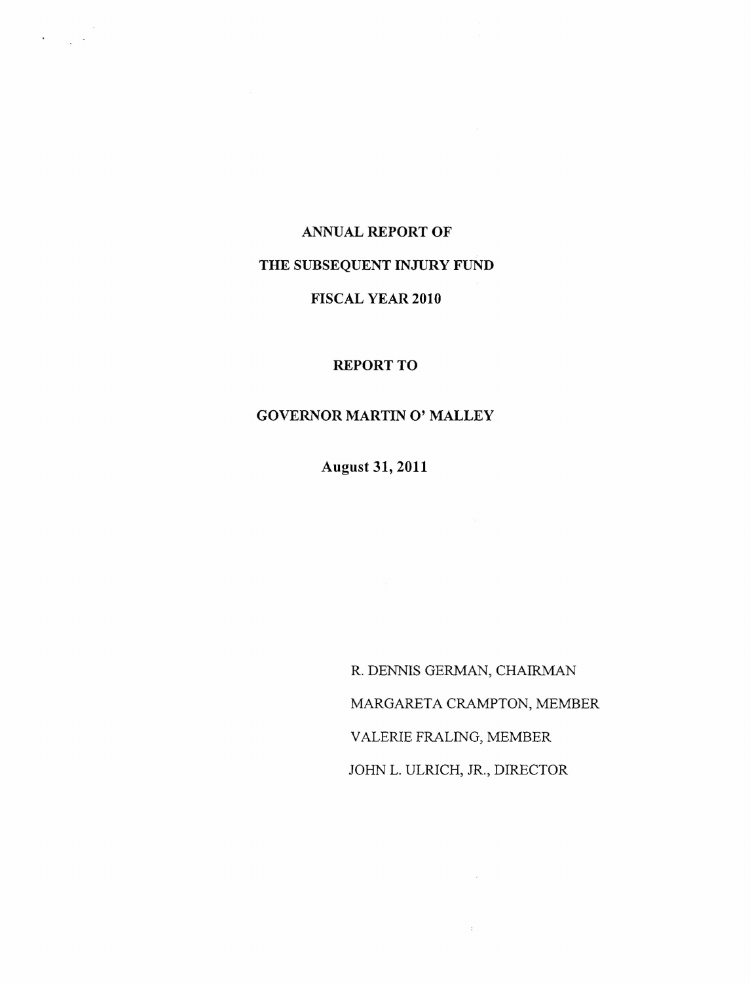#### **ANNUAL REPORT OF**

 $\label{eq:1} \mathbf{v} = \left( \begin{array}{cc} 0 & 0 \\ 0 & 0 \end{array} \right) \quad \text{and} \quad \mathbf{v} = \left( \begin{array}{cc} 0 & 0 \\ 0 & 0 \end{array} \right)$ 

# **THE SUBSEQUENT INJURY FUND**

### **FISCAL YEAR 2010**

#### REPORT TO

#### **GOVERNOR MARTIN 0' MALLEY**

**August 31,2011**

R. DENNIS GERMAN, CHAIRMAN MARGARETA CRAMPTON, MEMBER VALERIE FRALING, MEMBER JOHN L. ULRICH, JR., DIRECTOR

 $\sim$ 

 $\mathcal{L}$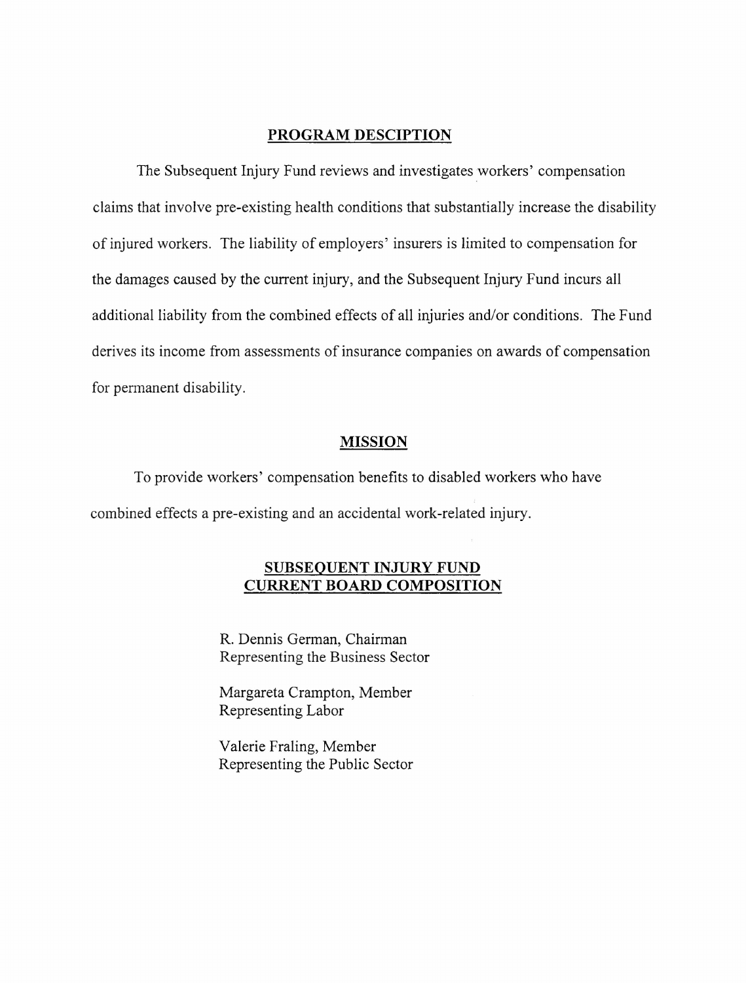### **PROGRAM DESCIPTION**

The Subsequent Injury Fund reviews and investigates workers' compensation claims that involve pre-existing health conditions that substantially increase the disability ofinjured workers. The liability of employers' insurers is limited to compensation for the damages caused by the current injury, and the Subsequent Injury Fund incurs all additional liability from the combined effects of all injuries and/or conditions. The Fund derives its income from assessments of insurance companies on awards of compensation for permanent disability.

#### **MISSION**

To provide workers' compensation benefits to disabled workers who have combined effects a pre-existing and an accidental work-related injury.

## **SUBSEQUENT INJURY FUND CURRENT BOARD COMPOSITION**

R. Dennis German, Chairman Representing the Business Sector

Margareta Crampton, Member Representing Labor

Valerie Fraling, Member Representing the Public Sector